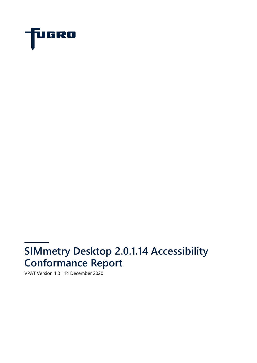

# **SIMmetry Desktop 2.0.1.14 Accessibility Conformance Report**

VPAT Version 1.0 | 14 December 2020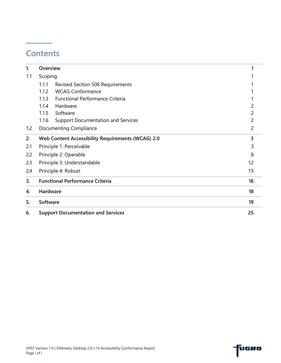## **Contents**

| 1.  | Overview |                                                   |                |
|-----|----------|---------------------------------------------------|----------------|
| 1.1 | Scoping  |                                                   |                |
|     | 1.1.1    | <b>Revised Section 508 Requirements</b>           |                |
|     | 1.1.2    | <b>WCAG Conformance</b>                           |                |
|     | 1.1.3    | <b>Functional Performance Criteria</b>            |                |
|     | 1.1.4    | Hardware                                          | 2              |
|     | 1.1.5    | Software                                          | 2              |
|     | 1.1.6    | <b>Support Documentation and Services</b>         | 2              |
| 1.2 |          | Documenting Compliance                            | $\overline{2}$ |
| 2.  |          | Web Content Accessibility Requirements (WCAG) 2.0 | 3              |
| 2.1 |          | Principle 1: Perceivable                          | 3              |
| 2.2 |          | Principle 2: Operable                             | 8              |
| 2.3 |          | Principle 3: Understandable                       | 12             |
| 2.4 |          | Principle 4: Robust                               | 15             |
| 3.  |          | <b>Functional Performance Criteria</b>            | 16             |
| 4.  | Hardware |                                                   | 18             |
| 5.  | Software |                                                   | 19             |
| 6.  |          | <b>Support Documentation and Services</b>         | 25             |

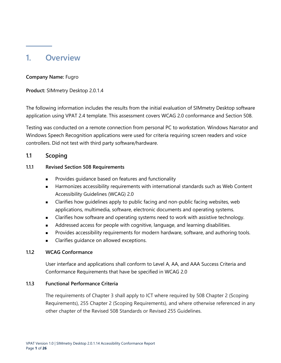### <span id="page-2-0"></span>**1. Overview**

#### **Company Name:** Fugro

**Product:** SIMmetry Desktop 2.0.1.4

The following information includes the results from the initial evaluation of SIMmetry Desktop software application using VPAT 2.4 template. This assessment covers WCAG 2.0 conformance and Section 508.

Testing was conducted on a remote connection from personal PC to workstation. Windows Narrator and Windows Speech Recognition applications were used for criteria requiring screen readers and voice controllers. Did not test with third party software/hardware.

#### <span id="page-2-1"></span>**1.1 Scoping**

#### <span id="page-2-2"></span>**1.1.1 Revised Section 508 Requirements**

- Provides guidance based on features and functionality
- Harmonizes accessibility requirements with international standards such as Web Content Accessibility Guidelines (WCAG) 2.0
- Clarifies how guidelines apply to public facing and non-public facing websites, web applications, multimedia, software, electronic documents and operating systems.
- Clarifies how software and operating systems need to work with assistive technology.
- Addressed access for people with cognitive, language, and learning disabilities.
- Provides accessibility requirements for modern hardware, software, and authoring tools.
- Clarifies quidance on allowed exceptions.

#### <span id="page-2-3"></span>**1.1.2 WCAG Conformance**

User interface and applications shall conform to Level A, AA, and AAA Success Criteria and Conformance Requirements that have be specified in WCAG 2.0

#### <span id="page-2-4"></span>**1.1.3 Functional Performance Criteria**

The requirements of Chapter 3 shall apply to ICT where required by 508 Chapter 2 (Scoping Requirements), 255 Chapter 2 (Scoping Requirements), and where otherwise referenced in any other chapter of the Revised 508 Standards or Revised 255 Guidelines.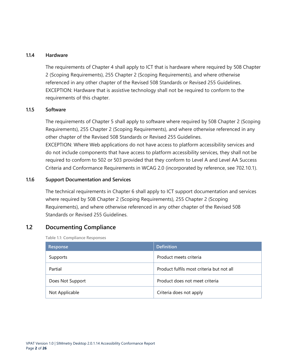#### <span id="page-3-0"></span>**1.1.4 Hardware**

The requirements of Chapter 4 shall apply to ICT that is hardware where required by 508 Chapter 2 (Scoping Requirements), 255 Chapter 2 (Scoping Requirements), and where otherwise referenced in any other chapter of the Revised 508 Standards or Revised 255 Guidelines. EXCEPTION: Hardware that is assistive technology shall not be required to conform to the requirements of this chapter.

#### <span id="page-3-1"></span>**1.1.5 Software**

The requirements of Chapter 5 shall apply to software where required by 508 Chapter 2 (Scoping Requirements), 255 Chapter 2 (Scoping Requirements), and where otherwise referenced in any other chapter of the Revised 508 Standards or Revised 255 Guidelines.

EXCEPTION: Where Web applications do not have access to platform accessibility services and do not include components that have access to platform accessibility services, they shall not be required to conform to 502 or 503 provided that they conform to Level A and Level AA Success Criteria and Conformance Requirements in WCAG 2.0 (incorporated by reference, see 702.10.1).

#### <span id="page-3-2"></span>**1.1.6 Support Documentation and Services**

The technical requirements in Chapter 6 shall apply to ICT support documentation and services where required by 508 Chapter 2 (Scoping Requirements), 255 Chapter 2 (Scoping Requirements), and where otherwise referenced in any other chapter of the Revised 508 Standards or Revised 255 Guidelines.

#### <span id="page-3-3"></span>**1.2 Documenting Compliance**

**Table 1.1: Compliance Responses**

| Response         | <b>Definition</b>                         |
|------------------|-------------------------------------------|
| Supports         | Product meets criteria                    |
| Partial          | Product fulfils most criteria but not all |
| Does Not Support | Product does not meet criteria            |
| Not Applicable   | Criteria does not apply                   |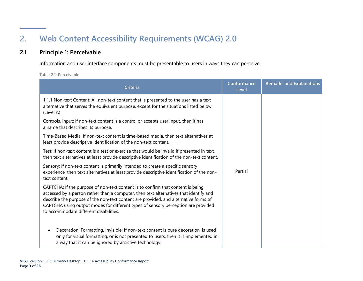# **2. Web Content Accessibility Requirements (WCAG) 2.0**

#### **2.1 Principle 1: Perceivable**

Information and user interface components must be presentable to users in ways they can perceive.

**Table 2.1: Perceivable**

<span id="page-4-1"></span><span id="page-4-0"></span>

| Criteria                                                                                                                                                                                                                                                                                                                                                                                       | Conformance<br>Level | <b>Remarks and Explanations</b> |  |  |
|------------------------------------------------------------------------------------------------------------------------------------------------------------------------------------------------------------------------------------------------------------------------------------------------------------------------------------------------------------------------------------------------|----------------------|---------------------------------|--|--|
| 1.1.1 Non-text Content: All non-text content that is presented to the user has a text<br>alternative that serves the equivalent purpose, except for the situations listed below.<br>(Level A)                                                                                                                                                                                                  | Partial              |                                 |  |  |
| Controls, Input: If non-text content is a control or accepts user input, then it has<br>a name that describes its purpose.                                                                                                                                                                                                                                                                     |                      |                                 |  |  |
| Time-Based Media: If non-text content is time-based media, then text alternatives at<br>least provide descriptive identification of the non-text content.                                                                                                                                                                                                                                      |                      |                                 |  |  |
| Test: If non-text content is a test or exercise that would be invalid if presented in text,<br>then text alternatives at least provide descriptive identification of the non-text content.                                                                                                                                                                                                     |                      |                                 |  |  |
| Sensory: If non-text content is primarily intended to create a specific sensory<br>experience, then text alternatives at least provide descriptive identification of the non-<br>text content.                                                                                                                                                                                                 |                      |                                 |  |  |
| CAPTCHA: If the purpose of non-text content is to confirm that content is being<br>accessed by a person rather than a computer, then text alternatives that identify and<br>describe the purpose of the non-text content are provided, and alternative forms of<br>CAPTCHA using output modes for different types of sensory perception are provided<br>to accommodate different disabilities. |                      |                                 |  |  |
| Decoration, Formatting, Invisible: If non-text content is pure decoration, is used<br>$\bullet$<br>only for visual formatting, or is not presented to users, then it is implemented in<br>a way that it can be ignored by assistive technology.                                                                                                                                                |                      |                                 |  |  |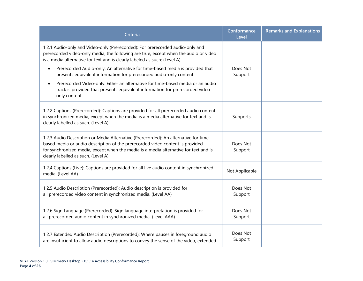| <b>Criteria</b>                                                                                                                                                                                                                                                                                      | Conformance<br>Level | <b>Remarks and Explanations</b> |
|------------------------------------------------------------------------------------------------------------------------------------------------------------------------------------------------------------------------------------------------------------------------------------------------------|----------------------|---------------------------------|
| 1.2.1 Audio-only and Video-only (Prerecorded): For prerecorded audio-only and<br>prerecorded video-only media, the following are true, except when the audio or video<br>is a media alternative for text and is clearly labeled as such: (Level A)                                                   |                      |                                 |
| Prerecorded Audio-only: An alternative for time-based media is provided that<br>$\bullet$<br>presents equivalent information for prerecorded audio-only content.                                                                                                                                     | Does Not<br>Support  |                                 |
| Prerecorded Video-only: Either an alternative for time-based media or an audio<br>$\bullet$<br>track is provided that presents equivalent information for prerecorded video-<br>only content.                                                                                                        |                      |                                 |
| 1.2.2 Captions (Prerecorded): Captions are provided for all prerecorded audio content<br>in synchronized media, except when the media is a media alternative for text and is<br>clearly labelled as such. (Level A)                                                                                  | Supports             |                                 |
| 1.2.3 Audio Description or Media Alternative (Prerecorded): An alternative for time-<br>based media or audio description of the prerecorded video content is provided<br>for synchronized media, except when the media is a media alternative for text and is<br>clearly labelled as such. (Level A) | Does Not<br>Support  |                                 |
| 1.2.4 Captions (Live): Captions are provided for all live audio content in synchronized<br>media. (Level AA)                                                                                                                                                                                         | Not Applicable       |                                 |
| 1.2.5 Audio Description (Prerecorded): Audio description is provided for<br>all prerecorded video content in synchronized media. (Level AA)                                                                                                                                                          | Does Not<br>Support  |                                 |
| 1.2.6 Sign Language (Prerecorded): Sign language interpretation is provided for<br>all prerecorded audio content in synchronized media. (Level AAA)                                                                                                                                                  | Does Not<br>Support  |                                 |
| 1.2.7 Extended Audio Description (Prerecorded): Where pauses in foreground audio<br>are insufficient to allow audio descriptions to convey the sense of the video, extended                                                                                                                          | Does Not<br>Support  |                                 |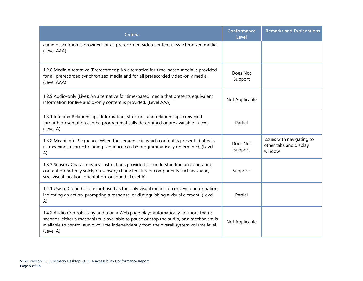| <b>Criteria</b>                                                                                                                                                                                                                                                                     | Conformance<br>Level | <b>Remarks and Explanations</b>                               |
|-------------------------------------------------------------------------------------------------------------------------------------------------------------------------------------------------------------------------------------------------------------------------------------|----------------------|---------------------------------------------------------------|
| audio description is provided for all prerecorded video content in synchronized media.<br>(Level AAA)                                                                                                                                                                               |                      |                                                               |
| 1.2.8 Media Alternative (Prerecorded): An alternative for time-based media is provided<br>for all prerecorded synchronized media and for all prerecorded video-only media.<br>(Level AAA)                                                                                           | Does Not<br>Support  |                                                               |
| 1.2.9 Audio-only (Live): An alternative for time-based media that presents equivalent<br>information for live audio-only content is provided. (Level AAA)                                                                                                                           | Not Applicable       |                                                               |
| 1.3.1 Info and Relationships: Information, structure, and relationships conveyed<br>through presentation can be programmatically determined or are available in text.<br>(Level A)                                                                                                  | Partial              |                                                               |
| 1.3.2 Meaningful Sequence: When the sequence in which content is presented affects<br>its meaning, a correct reading sequence can be programmatically determined. (Level<br>A)                                                                                                      | Does Not<br>Support  | Issues with navigating to<br>other tabs and display<br>window |
| 1.3.3 Sensory Characteristics: Instructions provided for understanding and operating<br>content do not rely solely on sensory characteristics of components such as shape,<br>size, visual location, orientation, or sound. (Level A)                                               | Supports             |                                                               |
| 1.4.1 Use of Color: Color is not used as the only visual means of conveying information,<br>indicating an action, prompting a response, or distinguishing a visual element. (Level<br>A)                                                                                            | Partial              |                                                               |
| 1.4.2 Audio Control: If any audio on a Web page plays automatically for more than 3<br>seconds, either a mechanism is available to pause or stop the audio, or a mechanism is<br>available to control audio volume independently from the overall system volume level.<br>(Level A) | Not Applicable       |                                                               |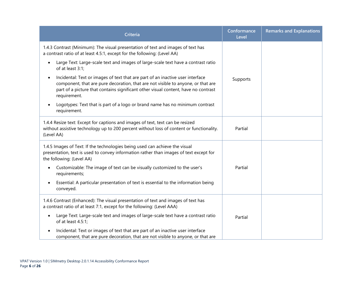| <b>Criteria</b>                                                                                                                                                                                                                                                                       | Conformance<br>Level | <b>Remarks and Explanations</b> |
|---------------------------------------------------------------------------------------------------------------------------------------------------------------------------------------------------------------------------------------------------------------------------------------|----------------------|---------------------------------|
| 1.4.3 Contrast (Minimum): The visual presentation of text and images of text has<br>a contrast ratio of at least 4.5:1, except for the following: (Level AA)                                                                                                                          |                      |                                 |
| Large Text: Large-scale text and images of large-scale text have a contrast ratio<br>$\bullet$<br>of at least 3:1;                                                                                                                                                                    |                      |                                 |
| Incidental: Text or images of text that are part of an inactive user interface<br>$\bullet$<br>component, that are pure decoration, that are not visible to anyone, or that are<br>part of a picture that contains significant other visual content, have no contrast<br>requirement. | Supports             |                                 |
| Logotypes: Text that is part of a logo or brand name has no minimum contrast<br>$\bullet$<br>requirement.                                                                                                                                                                             |                      |                                 |
| 1.4.4 Resize text: Except for captions and images of text, text can be resized<br>without assistive technology up to 200 percent without loss of content or functionality.<br>(Level AA)                                                                                              | Partial              |                                 |
| 1.4.5 Images of Text: If the technologies being used can achieve the visual<br>presentation, text is used to convey information rather than images of text except for<br>the following: (Level AA)                                                                                    |                      |                                 |
| Customizable: The image of text can be visually customized to the user's<br>$\bullet$<br>requirements;                                                                                                                                                                                | Partial              |                                 |
| Essential: A particular presentation of text is essential to the information being<br>$\bullet$<br>conveyed.                                                                                                                                                                          |                      |                                 |
| 1.4.6 Contrast (Enhanced): The visual presentation of text and images of text has<br>a contrast ratio of at least 7:1, except for the following: (Level AAA)                                                                                                                          |                      |                                 |
| Large Text: Large-scale text and images of large-scale text have a contrast ratio<br>$\bullet$<br>of at least 4.5:1;                                                                                                                                                                  | Partial              |                                 |
| Incidental: Text or images of text that are part of an inactive user interface<br>component, that are pure decoration, that are not visible to anyone, or that are                                                                                                                    |                      |                                 |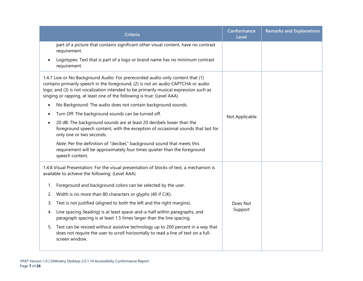|           | Criteria                                                                                                                                                                                                                                                                                                                              | Conformance<br>Level | <b>Remarks and Explanations</b> |
|-----------|---------------------------------------------------------------------------------------------------------------------------------------------------------------------------------------------------------------------------------------------------------------------------------------------------------------------------------------|----------------------|---------------------------------|
|           | part of a picture that contains significant other visual content, have no contrast<br>requirement.                                                                                                                                                                                                                                    |                      |                                 |
|           | Logotypes: Text that is part of a logo or brand name has no minimum contrast<br>requirement.                                                                                                                                                                                                                                          |                      |                                 |
|           | 1.4.7 Low or No Background Audio: For prerecorded audio-only content that (1)<br>contains primarily speech in the foreground, (2) is not an audio CAPTCHA or audio<br>logo, and (3) is not vocalization intended to be primarily musical expression such as<br>singing or rapping, at least one of the following is true: (Level AAA) |                      |                                 |
| $\bullet$ | No Background: The audio does not contain background sounds.                                                                                                                                                                                                                                                                          |                      |                                 |
|           | Turn Off: The background sounds can be turned off.                                                                                                                                                                                                                                                                                    | Not Applicable       |                                 |
| $\bullet$ | 20 dB: The background sounds are at least 20 decibels lower than the<br>foreground speech content, with the exception of occasional sounds that last for<br>only one or two seconds.                                                                                                                                                  |                      |                                 |
|           | Note: Per the definition of "decibel," background sound that meets this<br>requirement will be approximately four times quieter than the foreground<br>speech content.                                                                                                                                                                |                      |                                 |
|           | 1.4.8 Visual Presentation: For the visual presentation of blocks of text, a mechanism is<br>available to achieve the following: (Level AAA)                                                                                                                                                                                           |                      |                                 |
| 1.        | Foreground and background colors can be selected by the user.                                                                                                                                                                                                                                                                         |                      |                                 |
|           | 2. Width is no more than 80 characters or glyphs (40 if CJK).                                                                                                                                                                                                                                                                         |                      |                                 |
| 3.        | Text is not justified (aligned to both the left and the right margins).                                                                                                                                                                                                                                                               | Does Not             |                                 |
| 4.        | Line spacing (leading) is at least space-and-a-half within paragraphs, and<br>paragraph spacing is at least 1.5 times larger than the line spacing.                                                                                                                                                                                   | Support              |                                 |
| 5.        | Text can be resized without assistive technology up to 200 percent in a way that<br>does not require the user to scroll horizontally to read a line of text on a full-<br>screen window.                                                                                                                                              |                      |                                 |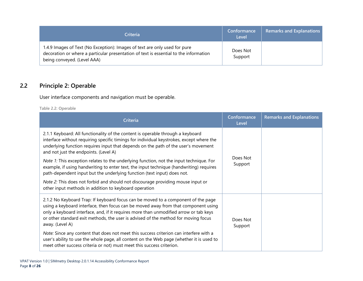| <b>Criteria</b>                                                                                                                                                                                    | Conformance<br>Level | <b>Remarks and Explanations</b> |
|----------------------------------------------------------------------------------------------------------------------------------------------------------------------------------------------------|----------------------|---------------------------------|
| 1.4.9 Images of Text (No Exception): Images of text are only used for pure<br>decoration or where a particular presentation of text is essential to the information<br>being conveyed. (Level AAA) | Does Not<br>Support  |                                 |

### **2.2 Principle 2: Operable**

User interface components and navigation must be operable.

**Table 2.2: Operable**

<span id="page-9-0"></span>

| Criteria                                                                                                                                                                                                                                                                                                                                                                  | Conformance<br>Level | <b>Remarks and Explanations</b> |
|---------------------------------------------------------------------------------------------------------------------------------------------------------------------------------------------------------------------------------------------------------------------------------------------------------------------------------------------------------------------------|----------------------|---------------------------------|
| 2.1.1 Keyboard: All functionality of the content is operable through a keyboard<br>interface without requiring specific timings for individual keystrokes, except where the<br>underlying function requires input that depends on the path of the user's movement<br>and not just the endpoints. (Level A)                                                                | Does Not<br>Support  |                                 |
| <i>Note 1:</i> This exception relates to the underlying function, not the input technique. For<br>example, if using handwriting to enter text, the input technique (handwriting) requires<br>path-dependent input but the underlying function (text input) does not.                                                                                                      |                      |                                 |
| Note 2: This does not forbid and should not discourage providing mouse input or<br>other input methods in addition to keyboard operation                                                                                                                                                                                                                                  |                      |                                 |
| 2.1.2 No Keyboard Trap: If keyboard focus can be moved to a component of the page<br>using a keyboard interface, then focus can be moved away from that component using<br>only a keyboard interface, and, if it requires more than unmodified arrow or tab keys<br>or other standard exit methods, the user is advised of the method for moving focus<br>away. (Level A) | Does Not<br>Support  |                                 |
| Note: Since any content that does not meet this success criterion can interfere with a<br>user's ability to use the whole page, all content on the Web page (whether it is used to<br>meet other success criteria or not) must meet this success criterion.                                                                                                               |                      |                                 |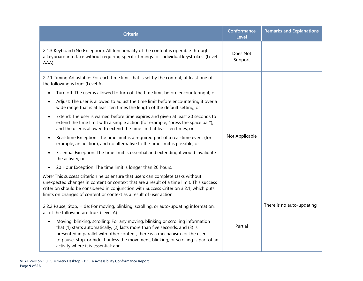| <b>Criteria</b>                                                                                                                                                                                                                                                                                                                                                                          | Conformance<br>Level | <b>Remarks and Explanations</b> |
|------------------------------------------------------------------------------------------------------------------------------------------------------------------------------------------------------------------------------------------------------------------------------------------------------------------------------------------------------------------------------------------|----------------------|---------------------------------|
| 2.1.3 Keyboard (No Exception): All functionality of the content is operable through<br>a keyboard interface without requiring specific timings for individual keystrokes. (Level<br>AAA)                                                                                                                                                                                                 | Does Not<br>Support  |                                 |
| 2.2.1 Timing Adjustable: For each time limit that is set by the content, at least one of<br>the following is true: (Level A)                                                                                                                                                                                                                                                             |                      |                                 |
| Turn off: The user is allowed to turn off the time limit before encountering it; or                                                                                                                                                                                                                                                                                                      |                      |                                 |
| Adjust: The user is allowed to adjust the time limit before encountering it over a<br>$\bullet$<br>wide range that is at least ten times the length of the default setting; or                                                                                                                                                                                                           | Not Applicable       |                                 |
| Extend: The user is warned before time expires and given at least 20 seconds to<br>$\bullet$<br>extend the time limit with a simple action (for example, "press the space bar"),<br>and the user is allowed to extend the time limit at least ten times; or                                                                                                                              |                      |                                 |
| Real-time Exception: The time limit is a required part of a real-time event (for<br>$\bullet$<br>example, an auction), and no alternative to the time limit is possible; or                                                                                                                                                                                                              |                      |                                 |
| Essential Exception: The time limit is essential and extending it would invalidate<br>the activity; or                                                                                                                                                                                                                                                                                   |                      |                                 |
| 20 Hour Exception: The time limit is longer than 20 hours.                                                                                                                                                                                                                                                                                                                               |                      |                                 |
| Note: This success criterion helps ensure that users can complete tasks without<br>unexpected changes in content or context that are a result of a time limit. This success<br>criterion should be considered in conjunction with Success Criterion 3.2.1, which puts<br>limits on changes of content or context as a result of user action.                                             |                      |                                 |
| 2.2.2 Pause, Stop, Hide: For moving, blinking, scrolling, or auto-updating information,<br>all of the following are true: (Level A)                                                                                                                                                                                                                                                      |                      | There is no auto-updating       |
| Moving, blinking, scrolling: For any moving, blinking or scrolling information<br>$\bullet$<br>that (1) starts automatically, (2) lasts more than five seconds, and (3) is<br>presented in parallel with other content, there is a mechanism for the user<br>to pause, stop, or hide it unless the movement, blinking, or scrolling is part of an<br>activity where it is essential; and | Partial              |                                 |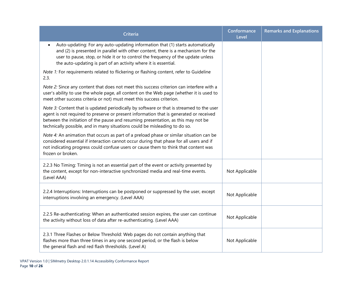| <b>Criteria</b>                                                                                                                                                                                                                                                                                                                                       | Conformance<br>Level | <b>Remarks and Explanations</b> |
|-------------------------------------------------------------------------------------------------------------------------------------------------------------------------------------------------------------------------------------------------------------------------------------------------------------------------------------------------------|----------------------|---------------------------------|
| Auto-updating: For any auto-updating information that (1) starts automatically<br>and (2) is presented in parallel with other content, there is a mechanism for the<br>user to pause, stop, or hide it or to control the frequency of the update unless<br>the auto-updating is part of an activity where it is essential.                            |                      |                                 |
| Note 1: For requirements related to flickering or flashing content, refer to Guideline<br>2.3.                                                                                                                                                                                                                                                        |                      |                                 |
| Note 2: Since any content that does not meet this success criterion can interfere with a<br>user's ability to use the whole page, all content on the Web page (whether it is used to<br>meet other success criteria or not) must meet this success criterion.                                                                                         |                      |                                 |
| Note 3: Content that is updated periodically by software or that is streamed to the user<br>agent is not required to preserve or present information that is generated or received<br>between the initiation of the pause and resuming presentation, as this may not be<br>technically possible, and in many situations could be misleading to do so. |                      |                                 |
| Note 4: An animation that occurs as part of a preload phase or similar situation can be<br>considered essential if interaction cannot occur during that phase for all users and if<br>not indicating progress could confuse users or cause them to think that content was<br>frozen or broken.                                                        |                      |                                 |
| 2.2.3 No Timing: Timing is not an essential part of the event or activity presented by<br>the content, except for non-interactive synchronized media and real-time events.<br>(Level AAA)                                                                                                                                                             | Not Applicable       |                                 |
| 2.2.4 Interruptions: Interruptions can be postponed or suppressed by the user, except<br>interruptions involving an emergency. (Level AAA)                                                                                                                                                                                                            | Not Applicable       |                                 |
| 2.2.5 Re-authenticating: When an authenticated session expires, the user can continue<br>the activity without loss of data after re-authenticating. (Level AAA)                                                                                                                                                                                       | Not Applicable       |                                 |
| 2.3.1 Three Flashes or Below Threshold: Web pages do not contain anything that<br>flashes more than three times in any one second period, or the flash is below<br>the general flash and red flash thresholds. (Level A)                                                                                                                              | Not Applicable       |                                 |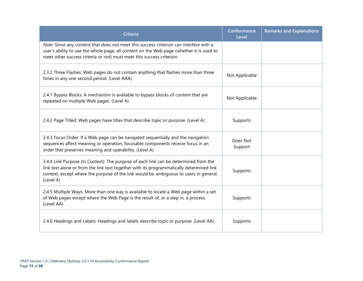| <b>Criteria</b>                                                                                                                                                                                                                                                                        | Conformance<br>Level | <b>Remarks and Explanations</b> |
|----------------------------------------------------------------------------------------------------------------------------------------------------------------------------------------------------------------------------------------------------------------------------------------|----------------------|---------------------------------|
| Note: Since any content that does not meet this success criterion can interfere with a<br>user's ability to use the whole page, all content on the Web page (whether it is used to<br>meet other success criteria or not) must meet this success criterion.                            |                      |                                 |
| 2.3.2 Three Flashes: Web pages do not contain anything that flashes more than three<br>times in any one second period. (Level AAA)                                                                                                                                                     | Not Applicable       |                                 |
| 2.4.1 Bypass Blocks: A mechanism is available to bypass blocks of content that are<br>repeated on multiple Web pages. (Level A)                                                                                                                                                        | Not Applicable       |                                 |
| 2.4.2 Page Titled: Web pages have titles that describe topic or purpose. (Level A)                                                                                                                                                                                                     | Supports             |                                 |
| 2.4.3 Focus Order: If a Web page can be navigated sequentially and the navigation<br>sequences affect meaning or operation, focusable components receive focus in an<br>order that preserves meaning and operability. (Level A)                                                        | Does Not<br>Support  |                                 |
| 2.4.4 Link Purpose (In Context): The purpose of each link can be determined from the<br>link text alone or from the link text together with its programmatically determined link<br>context, except where the purpose of the link would be ambiguous to users in general.<br>(Level A) | Supports             |                                 |
| 2.4.5 Multiple Ways: More than one way is available to locate a Web page within a set<br>of Web pages except where the Web Page is the result of, or a step in, a process.<br>(Level AA)                                                                                               | Supports             |                                 |
| 2.4.6 Headings and Labels: Headings and labels describe topic or purpose. (Level AA)                                                                                                                                                                                                   | Supports             |                                 |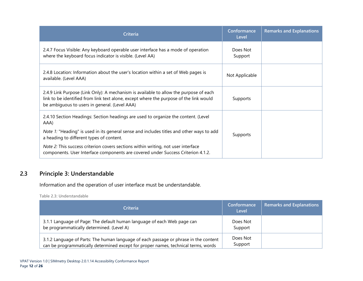| Criteria                                                                                                                                                                                                                         | Conformance<br>Level | <b>Remarks and Explanations</b> |
|----------------------------------------------------------------------------------------------------------------------------------------------------------------------------------------------------------------------------------|----------------------|---------------------------------|
| 2.4.7 Focus Visible: Any keyboard operable user interface has a mode of operation<br>where the keyboard focus indicator is visible. (Level AA)                                                                                   | Does Not<br>Support  |                                 |
| 2.4.8 Location: Information about the user's location within a set of Web pages is<br>available. (Level AAA)                                                                                                                     | Not Applicable       |                                 |
| 2.4.9 Link Purpose (Link Only): A mechanism is available to allow the purpose of each<br>link to be identified from link text alone, except where the purpose of the link would<br>be ambiguous to users in general. (Level AAA) | Supports             |                                 |
| 2.4.10 Section Headings: Section headings are used to organize the content. (Level<br>AAA)                                                                                                                                       |                      |                                 |
| Note 1: "Heading" is used in its general sense and includes titles and other ways to add<br>a heading to different types of content.                                                                                             | Supports             |                                 |
| Note 2: This success criterion covers sections within writing, not user interface<br>components. User Interface components are covered under Success Criterion 4.1.2.                                                            |                      |                                 |

#### **2.3 Principle 3: Understandable**

Information and the operation of user interface must be understandable.

**Table 2.3: Understandable**

<span id="page-13-0"></span>

| <b>Criteria</b>                                                                                                                                                            | Conformance<br>Level | <b>Remarks and Explanations</b> |
|----------------------------------------------------------------------------------------------------------------------------------------------------------------------------|----------------------|---------------------------------|
| 3.1.1 Language of Page: The default human language of each Web page can<br>be programmatically determined. (Level A)                                                       | Does Not<br>Support  |                                 |
| 3.1.2 Language of Parts: The human language of each passage or phrase in the content<br>can be programmatically determined except for proper names, technical terms, words | Does Not<br>Support  |                                 |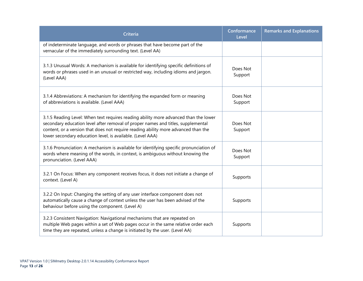| <b>Criteria</b>                                                                                                                                                                                                                                                                                                              | Conformance<br>Level | <b>Remarks and Explanations</b> |
|------------------------------------------------------------------------------------------------------------------------------------------------------------------------------------------------------------------------------------------------------------------------------------------------------------------------------|----------------------|---------------------------------|
| of indeterminate language, and words or phrases that have become part of the<br>vernacular of the immediately surrounding text. (Level AA)                                                                                                                                                                                   |                      |                                 |
| 3.1.3 Unusual Words: A mechanism is available for identifying specific definitions of<br>words or phrases used in an unusual or restricted way, including idioms and jargon.<br>(Level AAA)                                                                                                                                  | Does Not<br>Support  |                                 |
| 3.1.4 Abbreviations: A mechanism for identifying the expanded form or meaning<br>of abbreviations is available. (Level AAA)                                                                                                                                                                                                  | Does Not<br>Support  |                                 |
| 3.1.5 Reading Level: When text requires reading ability more advanced than the lower<br>secondary education level after removal of proper names and titles, supplemental<br>content, or a version that does not require reading ability more advanced than the<br>lower secondary education level, is available. (Level AAA) | Does Not<br>Support  |                                 |
| 3.1.6 Pronunciation: A mechanism is available for identifying specific pronunciation of<br>words where meaning of the words, in context, is ambiguous without knowing the<br>pronunciation. (Level AAA)                                                                                                                      | Does Not<br>Support  |                                 |
| 3.2.1 On Focus: When any component receives focus, it does not initiate a change of<br>context. (Level A)                                                                                                                                                                                                                    | Supports             |                                 |
| 3.2.2 On Input: Changing the setting of any user interface component does not<br>automatically cause a change of context unless the user has been advised of the<br>behaviour before using the component. (Level A)                                                                                                          | Supports             |                                 |
| 3.2.3 Consistent Navigation: Navigational mechanisms that are repeated on<br>multiple Web pages within a set of Web pages occur in the same relative order each<br>time they are repeated, unless a change is initiated by the user. (Level AA)                                                                              | Supports             |                                 |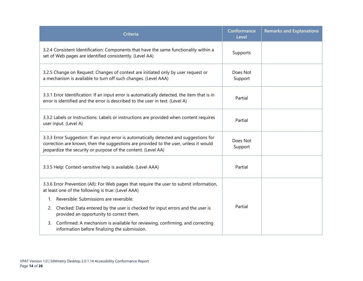| <b>Criteria</b>                                                                                                                                                                                                                                  | Conformance<br>Level | <b>Remarks and Explanations</b> |
|--------------------------------------------------------------------------------------------------------------------------------------------------------------------------------------------------------------------------------------------------|----------------------|---------------------------------|
| 3.2.4 Consistent Identification: Components that have the same functionality within a<br>set of Web pages are identified consistently. (Level AA)                                                                                                | Supports             |                                 |
| 3.2.5 Change on Request: Changes of context are initiated only by user request or<br>a mechanism is available to turn off such changes. (Level AAA)                                                                                              | Does Not<br>Support  |                                 |
| 3.3.1 Error Identification: If an input error is automatically detected, the item that is in<br>error is identified and the error is described to the user in text. (Level A)                                                                    | Partial              |                                 |
| 3.3.2 Labels or Instructions: Labels or instructions are provided when content requires<br>user input. (Level A)                                                                                                                                 | Partial              |                                 |
| 3.3.3 Error Suggestion: If an input error is automatically detected and suggestions for<br>correction are known, then the suggestions are provided to the user, unless it would<br>jeopardize the security or purpose of the content. (Level AA) | Does Not<br>Support  |                                 |
| 3.3.5 Help: Context-sensitive help is available. (Level AAA)                                                                                                                                                                                     | Partial              |                                 |
| 3.3.6 Error Prevention (All): For Web pages that require the user to submit information,<br>at least one of the following is true: (Level AAA)                                                                                                   |                      |                                 |
| 1. Reversible: Submissions are reversible.                                                                                                                                                                                                       |                      |                                 |
| Checked: Data entered by the user is checked for input errors and the user is<br>2.<br>provided an opportunity to correct them.                                                                                                                  | Partial              |                                 |
| Confirmed: A mechanism is available for reviewing, confirming, and correcting<br>3.<br>information before finalizing the submission.                                                                                                             |                      |                                 |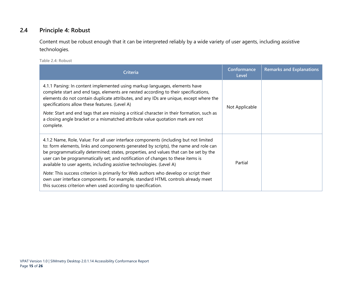#### **2.4 Principle 4: Robust**

Content must be robust enough that it can be interpreted reliably by a wide variety of user agents, including assistive technologies.

**Table 2.4: Robust**

<span id="page-16-0"></span>

| <b>Criteria</b>                                                                                                                                                                                                                                                                                                                                                                                                                                                                                             | Conformance<br>Level | <b>Remarks and Explanations</b> |
|-------------------------------------------------------------------------------------------------------------------------------------------------------------------------------------------------------------------------------------------------------------------------------------------------------------------------------------------------------------------------------------------------------------------------------------------------------------------------------------------------------------|----------------------|---------------------------------|
| 4.1.1 Parsing: In content implemented using markup languages, elements have<br>complete start and end tags, elements are nested according to their specifications,<br>elements do not contain duplicate attributes, and any IDs are unique, except where the<br>specifications allow these features. (Level A)<br>Note: Start and end tags that are missing a critical character in their formation, such as<br>a closing angle bracket or a mismatched attribute value quotation mark are not<br>complete. | Not Applicable       |                                 |
| 4.1.2 Name, Role, Value: For all user interface components (including but not limited<br>to: form elements, links and components generated by scripts), the name and role can<br>be programmatically determined; states, properties, and values that can be set by the<br>user can be programmatically set; and notification of changes to these items is<br>available to user agents, including assistive technologies. (Level A)                                                                          | Partial              |                                 |
| Note: This success criterion is primarily for Web authors who develop or script their<br>own user interface components. For example, standard HTML controls already meet<br>this success criterion when used according to specification.                                                                                                                                                                                                                                                                    |                      |                                 |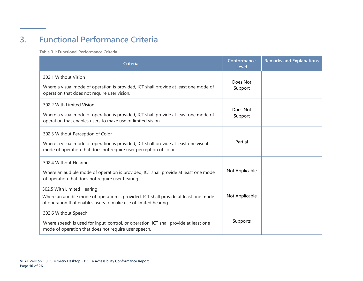# **3. Functional Performance Criteria**

**Table 3.1: Functional Performance Criteria**

<span id="page-17-0"></span>

| Criteria                                                                                                                                                                                      | Conformance<br>Level | <b>Remarks and Explanations</b> |
|-----------------------------------------------------------------------------------------------------------------------------------------------------------------------------------------------|----------------------|---------------------------------|
| 302.1 Without Vision<br>Where a visual mode of operation is provided, ICT shall provide at least one mode of<br>operation that does not require user vision.                                  | Does Not<br>Support  |                                 |
| 302.2 With Limited Vision<br>Where a visual mode of operation is provided, ICT shall provide at least one mode of<br>operation that enables users to make use of limited vision.              | Does Not<br>Support  |                                 |
| 302.3 Without Perception of Color<br>Where a visual mode of operation is provided, ICT shall provide at least one visual<br>mode of operation that does not require user perception of color. | Partial              |                                 |
| 302.4 Without Hearing<br>Where an audible mode of operation is provided, ICT shall provide at least one mode<br>of operation that does not require user hearing.                              | Not Applicable       |                                 |
| 302.5 With Limited Hearing<br>Where an audible mode of operation is provided, ICT shall provide at least one mode<br>of operation that enables users to make use of limited hearing.          | Not Applicable       |                                 |
| 302.6 Without Speech<br>Where speech is used for input, control, or operation, ICT shall provide at least one<br>mode of operation that does not require user speech.                         | Supports             |                                 |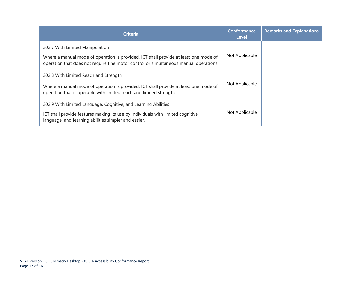| <b>Criteria</b>                                                                                                                                                                                                  | Conformance<br>Level | <b>Remarks and Explanations</b> |
|------------------------------------------------------------------------------------------------------------------------------------------------------------------------------------------------------------------|----------------------|---------------------------------|
| 302.7 With Limited Manipulation<br>Where a manual mode of operation is provided, ICT shall provide at least one mode of<br>operation that does not require fine motor control or simultaneous manual operations. | Not Applicable       |                                 |
| 302.8 With Limited Reach and Strength<br>Where a manual mode of operation is provided, ICT shall provide at least one mode of<br>operation that is operable with limited reach and limited strength.             | Not Applicable       |                                 |
| 302.9 With Limited Language, Cognitive, and Learning Abilities<br>ICT shall provide features making its use by individuals with limited cognitive,<br>language, and learning abilities simpler and easier.       | Not Applicable       |                                 |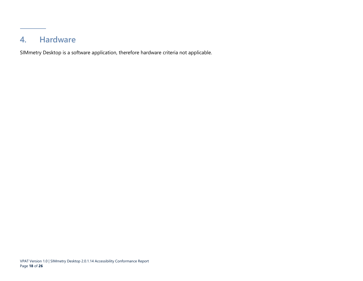### **4. Hardware**

<span id="page-19-0"></span>SIMmetry Desktop is a software application, therefore hardware criteria not applicable.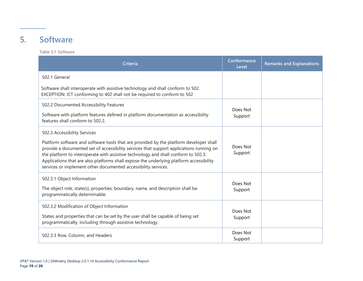### **5. Software**

**Table 5.1: Software**

<span id="page-20-0"></span>

| Criteria                                                                                                                                                                                                                                                                                                                                                                                                                                                             | Conformance<br>Level | <b>Remarks and Explanations</b> |
|----------------------------------------------------------------------------------------------------------------------------------------------------------------------------------------------------------------------------------------------------------------------------------------------------------------------------------------------------------------------------------------------------------------------------------------------------------------------|----------------------|---------------------------------|
| 502.1 General                                                                                                                                                                                                                                                                                                                                                                                                                                                        |                      |                                 |
| Software shall interoperate with assistive technology and shall conform to 502.<br>EXCEPTION: ICT conforming to 402 shall not be required to conform to 502                                                                                                                                                                                                                                                                                                          |                      |                                 |
| 502.2 Documented Accessibility Features<br>Software with platform features defined in platform documentation as accessibility<br>features shall conform to 502.2.                                                                                                                                                                                                                                                                                                    | Does Not<br>Support  |                                 |
| 502.3 Accessibility Services<br>Platform software and software tools that are provided by the platform developer shall<br>provide a documented set of accessibility services that support applications running on<br>the platform to interoperate with assistive technology and shall conform to 502.3.<br>Applications that are also platforms shall expose the underlying platform accessibility<br>services or implement other documented accessibility services. | Does Not<br>Support  |                                 |
| 502.3.1 Object Information<br>The object role, state(s), properties, boundary, name, and description shall be<br>programmatically determinable.                                                                                                                                                                                                                                                                                                                      | Does Not<br>Support  |                                 |
| 502.3.2 Modification of Object Information<br>States and properties that can be set by the user shall be capable of being set<br>programmatically, including through assistive technology.                                                                                                                                                                                                                                                                           | Does Not<br>Support  |                                 |
| 502.3.3 Row, Column, and Headers                                                                                                                                                                                                                                                                                                                                                                                                                                     | Does Not<br>Support  |                                 |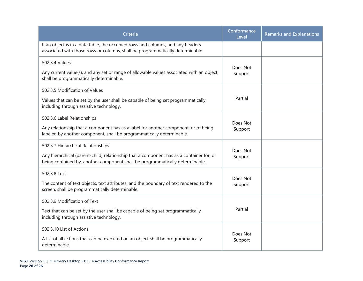| <b>Criteria</b>                                                                                                                                                                                                 | Conformance<br>Level | <b>Remarks and Explanations</b> |
|-----------------------------------------------------------------------------------------------------------------------------------------------------------------------------------------------------------------|----------------------|---------------------------------|
| If an object is in a data table, the occupied rows and columns, and any headers<br>associated with those rows or columns, shall be programmatically determinable.                                               |                      |                                 |
| 502.3.4 Values<br>Any current value(s), and any set or range of allowable values associated with an object,<br>shall be programmatically determinable.                                                          | Does Not<br>Support  |                                 |
| 502.3.5 Modification of Values<br>Values that can be set by the user shall be capable of being set programmatically,<br>including through assistive technology.                                                 | Partial              |                                 |
| 502.3.6 Label Relationships<br>Any relationship that a component has as a label for another component, or of being<br>labeled by another component, shall be programmatically determinable                      | Does Not<br>Support  |                                 |
| 502.3.7 Hierarchical Relationships<br>Any hierarchical (parent-child) relationship that a component has as a container for, or<br>being contained by, another component shall be programmatically determinable. | Does Not<br>Support  |                                 |
| 502.3.8 Text<br>The content of text objects, text attributes, and the boundary of text rendered to the<br>screen, shall be programmatically determinable.                                                       | Does Not<br>Support  |                                 |
| 502.3.9 Modification of Text<br>Text that can be set by the user shall be capable of being set programmatically,<br>including through assistive technology.                                                     | Partial              |                                 |
| 502.3.10 List of Actions<br>A list of all actions that can be executed on an object shall be programmatically<br>determinable.                                                                                  | Does Not<br>Support  |                                 |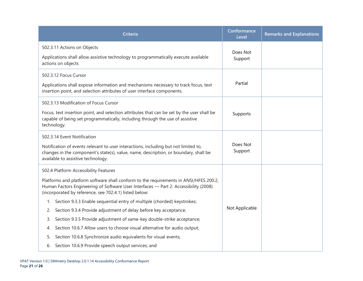| <b>Criteria</b>                                                                                                                                                                                                                         | Conformance<br>Level | <b>Remarks and Explanations</b> |
|-----------------------------------------------------------------------------------------------------------------------------------------------------------------------------------------------------------------------------------------|----------------------|---------------------------------|
| 502.3.11 Actions on Objects                                                                                                                                                                                                             | Does Not             |                                 |
| Applications shall allow assistive technology to programmatically execute available<br>actions on objects                                                                                                                               | Support              |                                 |
| 502.3.12 Focus Cursor                                                                                                                                                                                                                   |                      |                                 |
| Applications shall expose information and mechanisms necessary to track focus, text<br>insertion point, and selection attributes of user interface components.                                                                          | Partial              |                                 |
| 502.3.13 Modification of Focus Cursor                                                                                                                                                                                                   |                      |                                 |
| Focus, text insertion point, and selection attributes that can be set by the user shall be<br>capable of being set programmatically, including through the use of assistive<br>technology.                                              | Supports             |                                 |
| 502.3.14 Event Notification                                                                                                                                                                                                             |                      |                                 |
| Notification of events relevant to user interactions, including but not limited to,<br>changes in the component's state(s), value, name, description, or boundary, shall be<br>available to assistive technology.                       | Does Not<br>Support  |                                 |
| 502.4 Platform Accessibility Features                                                                                                                                                                                                   |                      |                                 |
| Platforms and platform software shall conform to the requirements in ANSI/HFES 200.2,<br>Human Factors Engineering of Software User Interfaces - Part 2: Accessibility (2008)<br>(incorporated by reference, see 702.4.1) listed below: |                      |                                 |
| 1. Section 9.3.3 Enable sequential entry of multiple (chorded) keystrokes;                                                                                                                                                              |                      |                                 |
| Section 9.3.4 Provide adjustment of delay before key acceptance;<br>2.                                                                                                                                                                  | Not Applicable       |                                 |
| Section 9.3.5 Provide adjustment of same-key double-strike acceptance;<br>3.                                                                                                                                                            |                      |                                 |
| Section 10.6.7 Allow users to choose visual alternative for audio output;<br>4.                                                                                                                                                         |                      |                                 |
| Section 10.6.8 Synchronize audio equivalents for visual events;<br>5.                                                                                                                                                                   |                      |                                 |
| Section 10.6.9 Provide speech output services; and<br>6.                                                                                                                                                                                |                      |                                 |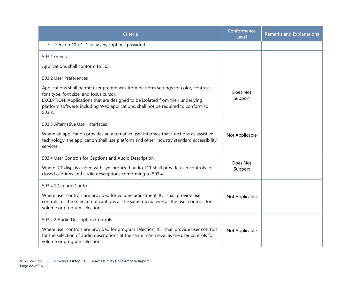| Criteria                                                                                                                                                                                                                                                                                                            | Conformance<br>Level | <b>Remarks and Explanations</b> |
|---------------------------------------------------------------------------------------------------------------------------------------------------------------------------------------------------------------------------------------------------------------------------------------------------------------------|----------------------|---------------------------------|
| 7. Section 10.7.1 Display any captions provided.                                                                                                                                                                                                                                                                    |                      |                                 |
| 503.1 General                                                                                                                                                                                                                                                                                                       |                      |                                 |
| Applications shall conform to 503.                                                                                                                                                                                                                                                                                  |                      |                                 |
| 503.2 User Preferences                                                                                                                                                                                                                                                                                              |                      |                                 |
| Applications shall permit user preferences from platform settings for color, contrast,<br>font type, font size, and focus cursor.<br>EXCEPTION: Applications that are designed to be isolated from their underlying<br>platform software, including Web applications, shall not be required to conform to<br>503.2. | Does Not<br>Support  |                                 |
| 503.3 Alternative User Interfaces                                                                                                                                                                                                                                                                                   |                      |                                 |
| Where an application provides an alternative user interface that functions as assistive<br>technology, the application shall use platform and other industry standard accessibility<br>services.                                                                                                                    | Not Applicable       |                                 |
| 503.4 User Controls for Captions and Audio Description                                                                                                                                                                                                                                                              |                      |                                 |
| Where ICT displays video with synchronized audio, ICT shall provide user controls for<br>closed captions and audio descriptions conforming to 503.4                                                                                                                                                                 | Does Not<br>Support  |                                 |
| 503.4.1 Caption Controls                                                                                                                                                                                                                                                                                            |                      |                                 |
| Where user controls are provided for volume adjustment, ICT shall provide user<br>controls for the selection of captions at the same menu level as the user controls for<br>volume or program selection.                                                                                                            | Not Applicable       |                                 |
| 503.4.2 Audio Description Controls                                                                                                                                                                                                                                                                                  |                      |                                 |
| Where user controls are provided for program selection, ICT shall provide user controls<br>for the selection of audio descriptions at the same menu level as the user controls for<br>volume or program selection.                                                                                                  | Not Applicable       |                                 |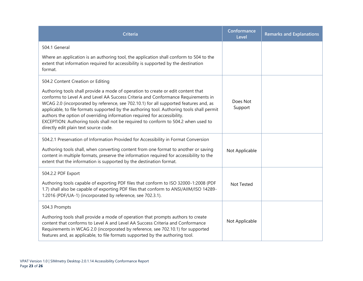| <b>Criteria</b>                                                                                                                                                                                                                                                                                                                                                                                                                                                                                                                                                       | Conformance<br>Level | <b>Remarks and Explanations</b> |
|-----------------------------------------------------------------------------------------------------------------------------------------------------------------------------------------------------------------------------------------------------------------------------------------------------------------------------------------------------------------------------------------------------------------------------------------------------------------------------------------------------------------------------------------------------------------------|----------------------|---------------------------------|
| 504.1 General                                                                                                                                                                                                                                                                                                                                                                                                                                                                                                                                                         |                      |                                 |
| Where an application is an authoring tool, the application shall conform to 504 to the<br>extent that information required for accessibility is supported by the destination<br>format.                                                                                                                                                                                                                                                                                                                                                                               |                      |                                 |
| 504.2 Content Creation or Editing                                                                                                                                                                                                                                                                                                                                                                                                                                                                                                                                     |                      |                                 |
| Authoring tools shall provide a mode of operation to create or edit content that<br>conforms to Level A and Level AA Success Criteria and Conformance Requirements in<br>WCAG 2.0 (incorporated by reference, see 702.10.1) for all supported features and, as<br>applicable, to file formats supported by the authoring tool. Authoring tools shall permit<br>authors the option of overriding information required for accessibility.<br>EXCEPTION: Authoring tools shall not be required to conform to 504.2 when used to<br>directly edit plain text source code. | Does Not<br>Support  |                                 |
| 504.2.1 Preservation of Information Provided for Accessibility in Format Conversion<br>Authoring tools shall, when converting content from one format to another or saving<br>content in multiple formats, preserve the information required for accessibility to the<br>extent that the information is supported by the destination format.                                                                                                                                                                                                                          | Not Applicable       |                                 |
| 504.2.2 PDF Export                                                                                                                                                                                                                                                                                                                                                                                                                                                                                                                                                    |                      |                                 |
| Authoring tools capable of exporting PDF files that conform to ISO 32000-1:2008 (PDF<br>1.7) shall also be capable of exporting PDF files that conform to ANSI/AIIM/ISO 14289-<br>1:2016 (PDF/UA-1) (incorporated by reference, see 702.3.1).                                                                                                                                                                                                                                                                                                                         | Not Tested           |                                 |
| 504.3 Prompts                                                                                                                                                                                                                                                                                                                                                                                                                                                                                                                                                         |                      |                                 |
| Authoring tools shall provide a mode of operation that prompts authors to create<br>content that conforms to Level A and Level AA Success Criteria and Conformance<br>Requirements in WCAG 2.0 (incorporated by reference, see 702.10.1) for supported<br>features and, as applicable, to file formats supported by the authoring tool.                                                                                                                                                                                                                               | Not Applicable       |                                 |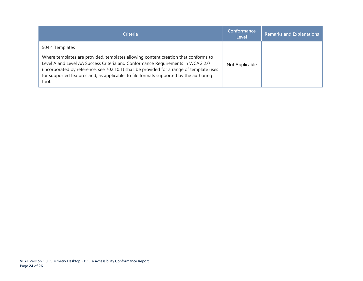| <b>Criteria</b>                                                                                                                                                                                                                                                                                                                                                                       | Conformance<br>Level | <b>Remarks and Explanations</b> |
|---------------------------------------------------------------------------------------------------------------------------------------------------------------------------------------------------------------------------------------------------------------------------------------------------------------------------------------------------------------------------------------|----------------------|---------------------------------|
| 504.4 Templates<br>Where templates are provided, templates allowing content creation that conforms to<br>Level A and Level AA Success Criteria and Conformance Requirements in WCAG 2.0<br>(incorporated by reference, see 702.10.1) shall be provided for a range of template uses<br>for supported features and, as applicable, to file formats supported by the authoring<br>tool. | Not Applicable       |                                 |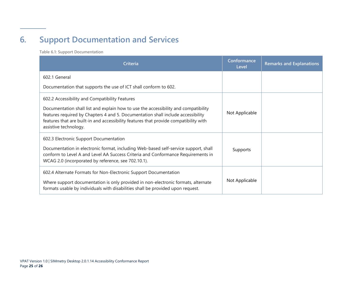# **6. Support Documentation and Services**

**Table 6.1: Support Documentation**

<span id="page-26-0"></span>

| <b>Criteria</b>                                                                                                                                                                                                                                                                           | Conformance<br>Level | <b>Remarks and Explanations</b> |
|-------------------------------------------------------------------------------------------------------------------------------------------------------------------------------------------------------------------------------------------------------------------------------------------|----------------------|---------------------------------|
| 602.1 General                                                                                                                                                                                                                                                                             |                      |                                 |
| Documentation that supports the use of ICT shall conform to 602.                                                                                                                                                                                                                          |                      |                                 |
| 602.2 Accessibility and Compatibility Features                                                                                                                                                                                                                                            |                      |                                 |
| Documentation shall list and explain how to use the accessibility and compatibility<br>features required by Chapters 4 and 5. Documentation shall include accessibility<br>features that are built-in and accessibility features that provide compatibility with<br>assistive technology. | Not Applicable       |                                 |
| 602.3 Electronic Support Documentation<br>Documentation in electronic format, including Web-based self-service support, shall<br>conform to Level A and Level AA Success Criteria and Conformance Requirements in<br>WCAG 2.0 (incorporated by reference, see 702.10.1).                  | Supports             |                                 |
| 602.4 Alternate Formats for Non-Electronic Support Documentation<br>Where support documentation is only provided in non-electronic formats, alternate<br>formats usable by individuals with disabilities shall be provided upon request.                                                  | Not Applicable       |                                 |